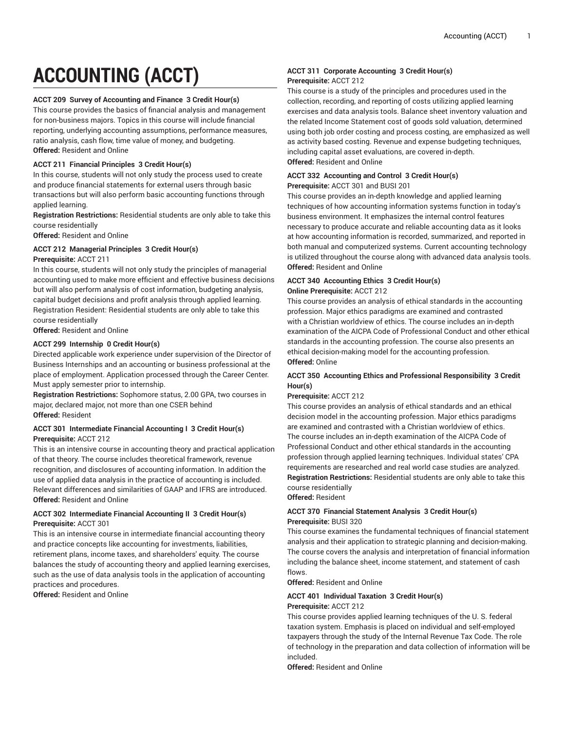# **ACCOUNTING (ACCT)**

## **ACCT 209 Survey of Accounting and Finance 3 Credit Hour(s)**

This course provides the basics of financial analysis and management for non-business majors. Topics in this course will include financial reporting, underlying accounting assumptions, performance measures, ratio analysis, cash flow, time value of money, and budgeting. **Offered:** Resident and Online

#### **ACCT 211 Financial Principles 3 Credit Hour(s)**

In this course, students will not only study the process used to create and produce financial statements for external users through basic transactions but will also perform basic accounting functions through applied learning.

**Registration Restrictions:** Residential students are only able to take this course residentially

**Offered:** Resident and Online

# **ACCT 212 Managerial Principles 3 Credit Hour(s)**

#### **Prerequisite:** ACCT 211

In this course, students will not only study the principles of managerial accounting used to make more efficient and effective business decisions but will also perform analysis of cost information, budgeting analysis, capital budget decisions and profit analysis through applied learning. Registration Resident: Residential students are only able to take this course residentially

**Offered:** Resident and Online

## **ACCT 299 Internship 0 Credit Hour(s)**

Directed applicable work experience under supervision of the Director of Business Internships and an accounting or business professional at the place of employment. Application processed through the Career Center. Must apply semester prior to internship.

**Registration Restrictions:** Sophomore status, 2.00 GPA, two courses in major, declared major, not more than one CSER behind **Offered:** Resident

# **ACCT 301 Intermediate Financial Accounting I 3 Credit Hour(s) Prerequisite:** ACCT 212

This is an intensive course in accounting theory and practical application of that theory. The course includes theoretical framework, revenue recognition, and disclosures of accounting information. In addition the use of applied data analysis in the practice of accounting is included. Relevant differences and similarities of GAAP and IFRS are introduced. **Offered:** Resident and Online

# **ACCT 302 Intermediate Financial Accounting II 3 Credit Hour(s) Prerequisite:** ACCT 301

This is an intensive course in intermediate financial accounting theory and practice concepts like accounting for investments, liabilities, retirement plans, income taxes, and shareholders' equity. The course balances the study of accounting theory and applied learning exercises, such as the use of data analysis tools in the application of accounting practices and procedures.

**Offered:** Resident and Online

# **ACCT 311 Corporate Accounting 3 Credit Hour(s) Prerequisite:** ACCT 212

This course is a study of the principles and procedures used in the collection, recording, and reporting of costs utilizing applied learning exercises and data analysis tools. Balance sheet inventory valuation and the related Income Statement cost of goods sold valuation, determined using both job order costing and process costing, are emphasized as well as activity based costing. Revenue and expense budgeting techniques, including capital asset evaluations, are covered in-depth. **Offered:** Resident and Online

## **ACCT 332 Accounting and Control 3 Credit Hour(s) Prerequisite:** ACCT 301 and BUSI 201

This course provides an in-depth knowledge and applied learning techniques of how accounting information systems function in today's business environment. It emphasizes the internal control features necessary to produce accurate and reliable accounting data as it looks at how accounting information is recorded, summarized, and reported in both manual and computerized systems. Current accounting technology is utilized throughout the course along with advanced data analysis tools. **Offered:** Resident and Online

## **ACCT 340 Accounting Ethics 3 Credit Hour(s) Online Prerequisite:** ACCT 212

This course provides an analysis of ethical standards in the accounting profession. Major ethics paradigms are examined and contrasted with a Christian worldview of ethics. The course includes an in-depth examination of the AICPA Code of Professional Conduct and other ethical standards in the accounting profession. The course also presents an ethical decision-making model for the accounting profession. **Offered:** Online

# **ACCT 350 Accounting Ethics and Professional Responsibility 3 Credit Hour(s)**

#### **Prerequisite:** ACCT 212

This course provides an analysis of ethical standards and an ethical decision model in the accounting profession. Major ethics paradigms are examined and contrasted with a Christian worldview of ethics. The course includes an in-depth examination of the AICPA Code of Professional Conduct and other ethical standards in the accounting profession through applied learning techniques. Individual states' CPA requirements are researched and real world case studies are analyzed. **Registration Restrictions:** Residential students are only able to take this course residentially

**Offered:** Resident

# **ACCT 370 Financial Statement Analysis 3 Credit Hour(s) Prerequisite:** BUSI 320

This course examines the fundamental techniques of financial statement analysis and their application to strategic planning and decision-making. The course covers the analysis and interpretation of financial information including the balance sheet, income statement, and statement of cash flows.

**Offered:** Resident and Online

#### **ACCT 401 Individual Taxation 3 Credit Hour(s)**

#### **Prerequisite:** ACCT 212

This course provides applied learning techniques of the U. S. federal taxation system. Emphasis is placed on individual and self-employed taxpayers through the study of the Internal Revenue Tax Code. The role of technology in the preparation and data collection of information will be included.

**Offered:** Resident and Online